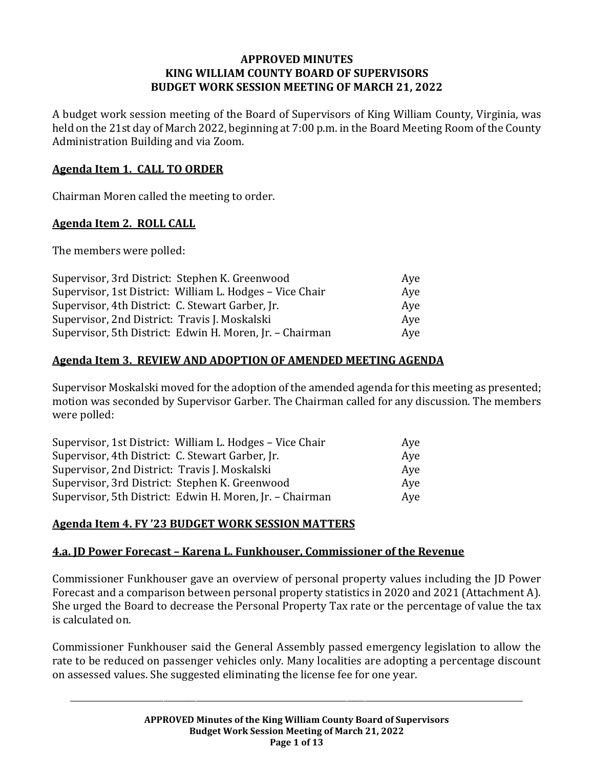#### **APPROVED MINUTES KING WILLIAM COUNTY BOARD OF SUPERVISORS BUDGET WORK SESSION MEETING OF MARCH 21, 2022**

A budget work session meeting of the Board of Supervisors of King William County, Virginia, was held on the 21st day of March 2022, beginning at 7:00 p.m. in the Board Meeting Room of the County Administration Building and via Zoom.

#### **Agenda Item 1. CALL TO ORDER**

Chairman Moren called the meeting to order.

#### **Agenda Item 2. ROLL CALL**

The members were polled:

| Supervisor, 3rd District: Stephen K. Greenwood           | Aye |
|----------------------------------------------------------|-----|
| Supervisor, 1st District: William L. Hodges - Vice Chair | Aye |
| Supervisor, 4th District: C. Stewart Garber, Jr.         | Ave |
| Supervisor, 2nd District: Travis J. Moskalski            | Ave |
| Supervisor, 5th District: Edwin H. Moren, Jr. - Chairman | Aye |

## **Agenda Item 3. REVIEW AND ADOPTION OF AMENDED MEETING AGENDA**

Supervisor Moskalski moved for the adoption of the amended agenda for this meeting as presented; motion was seconded by Supervisor Garber. The Chairman called for any discussion. The members were polled:

| Supervisor, 1st District: William L. Hodges - Vice Chair | Ave |
|----------------------------------------------------------|-----|
| Supervisor, 4th District: C. Stewart Garber, Jr.         | Aye |
| Supervisor, 2nd District: Travis J. Moskalski            | Ave |
| Supervisor, 3rd District: Stephen K. Greenwood           | Ave |
| Supervisor, 5th District: Edwin H. Moren, Jr. - Chairman | Ave |

## **Agenda Item 4. FY '23 BUDGET WORK SESSION MATTERS**

#### **4.a. JD Power Forecast – Karena L. Funkhouser, Commissioner of the Revenue**

Commissioner Funkhouser gave an overview of personal property values including the JD Power Forecast and a comparison between personal property statistics in 2020 and 2021 (Attachment A). She urged the Board to decrease the Personal Property Tax rate or the percentage of value the tax is calculated on.

Commissioner Funkhouser said the General Assembly passed emergency legislation to allow the rate to be reduced on passenger vehicles only. Many localities are adopting a percentage discount on assessed values. She suggested eliminating the license fee for one year.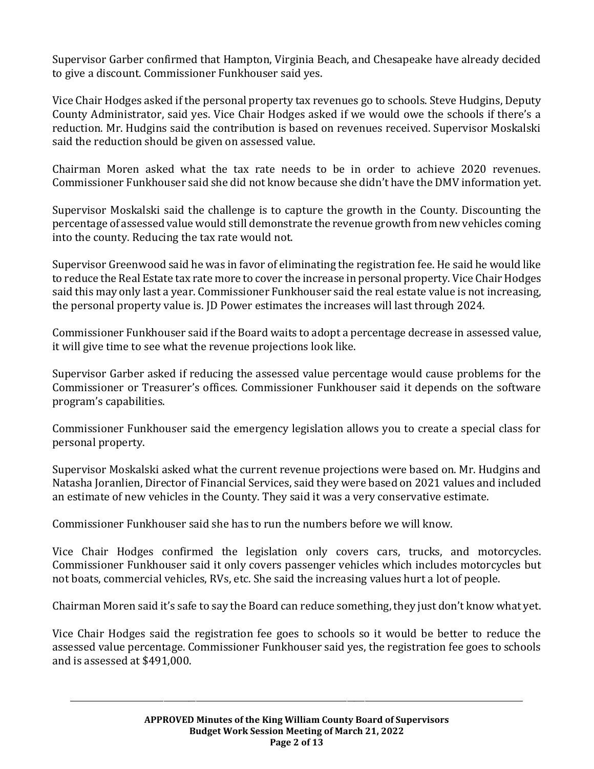Supervisor Garber confirmed that Hampton, Virginia Beach, and Chesapeake have already decided to give a discount. Commissioner Funkhouser said yes.

Vice Chair Hodges asked if the personal property tax revenues go to schools. Steve Hudgins, Deputy County Administrator, said yes. Vice Chair Hodges asked if we would owe the schools if there's a reduction. Mr. Hudgins said the contribution is based on revenues received. Supervisor Moskalski said the reduction should be given on assessed value.

Chairman Moren asked what the tax rate needs to be in order to achieve 2020 revenues. Commissioner Funkhouser said she did not know because she didn't have the DMV information yet.

Supervisor Moskalski said the challenge is to capture the growth in the County. Discounting the percentage of assessed value would still demonstrate the revenue growth from new vehicles coming into the county. Reducing the tax rate would not.

Supervisor Greenwood said he was in favor of eliminating the registration fee. He said he would like to reduce the Real Estate tax rate more to cover the increase in personal property. Vice Chair Hodges said this may only last a year. Commissioner Funkhouser said the real estate value is not increasing, the personal property value is. JD Power estimates the increases will last through 2024.

Commissioner Funkhouser said if the Board waits to adopt a percentage decrease in assessed value, it will give time to see what the revenue projections look like.

Supervisor Garber asked if reducing the assessed value percentage would cause problems for the Commissioner or Treasurer's offices. Commissioner Funkhouser said it depends on the software program's capabilities.

Commissioner Funkhouser said the emergency legislation allows you to create a special class for personal property.

Supervisor Moskalski asked what the current revenue projections were based on. Mr. Hudgins and Natasha Joranlien, Director of Financial Services, said they were based on 2021 values and included an estimate of new vehicles in the County. They said it was a very conservative estimate.

Commissioner Funkhouser said she has to run the numbers before we will know.

Vice Chair Hodges confirmed the legislation only covers cars, trucks, and motorcycles. Commissioner Funkhouser said it only covers passenger vehicles which includes motorcycles but not boats, commercial vehicles, RVs, etc. She said the increasing values hurt a lot of people.

Chairman Moren said it's safe to say the Board can reduce something, they just don't know what yet.

Vice Chair Hodges said the registration fee goes to schools so it would be better to reduce the assessed value percentage. Commissioner Funkhouser said yes, the registration fee goes to schools and is assessed at \$491,000.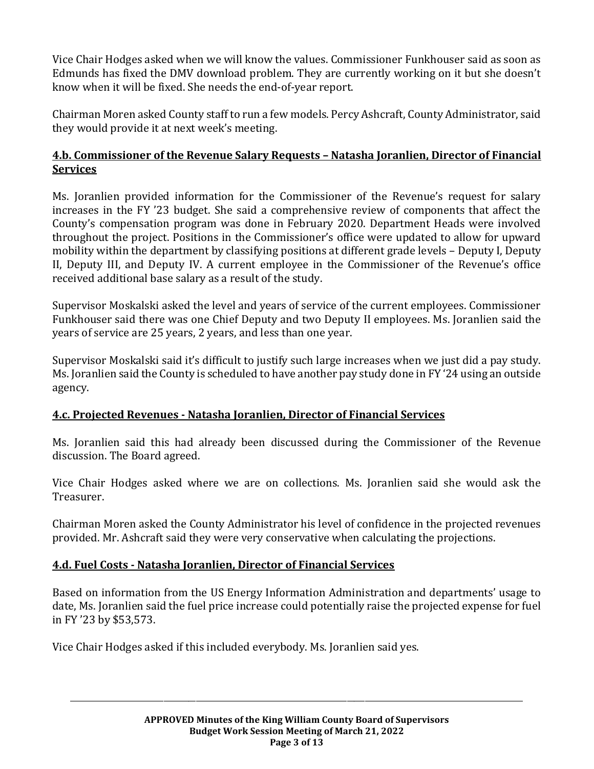Vice Chair Hodges asked when we will know the values. Commissioner Funkhouser said as soon as Edmunds has fixed the DMV download problem. They are currently working on it but she doesn't know when it will be fixed. She needs the end-of-year report.

Chairman Moren asked County staff to run a few models. Percy Ashcraft, County Administrator, said they would provide it at next week's meeting.

## **4.b. Commissioner of the Revenue Salary Requests – Natasha Joranlien, Director of Financial Services**

Ms. Joranlien provided information for the Commissioner of the Revenue's request for salary increases in the FY '23 budget. She said a comprehensive review of components that affect the County's compensation program was done in February 2020. Department Heads were involved throughout the project. Positions in the Commissioner's office were updated to allow for upward mobility within the department by classifying positions at different grade levels – Deputy I, Deputy II, Deputy III, and Deputy IV. A current employee in the Commissioner of the Revenue's office received additional base salary as a result of the study.

Supervisor Moskalski asked the level and years of service of the current employees. Commissioner Funkhouser said there was one Chief Deputy and two Deputy II employees. Ms. Joranlien said the years of service are 25 years, 2 years, and less than one year.

Supervisor Moskalski said it's difficult to justify such large increases when we just did a pay study. Ms. Joranlien said the County is scheduled to have another pay study done in FY '24 using an outside agency.

## **4.c. Projected Revenues - Natasha Joranlien, Director of Financial Services**

Ms. Joranlien said this had already been discussed during the Commissioner of the Revenue discussion. The Board agreed.

Vice Chair Hodges asked where we are on collections. Ms. Joranlien said she would ask the Treasurer.

Chairman Moren asked the County Administrator his level of confidence in the projected revenues provided. Mr. Ashcraft said they were very conservative when calculating the projections.

## **4.d. Fuel Costs - Natasha Joranlien, Director of Financial Services**

Based on information from the US Energy Information Administration and departments' usage to date, Ms. Joranlien said the fuel price increase could potentially raise the projected expense for fuel in FY '23 by \$53,573.

Vice Chair Hodges asked if this included everybody. Ms. Joranlien said yes.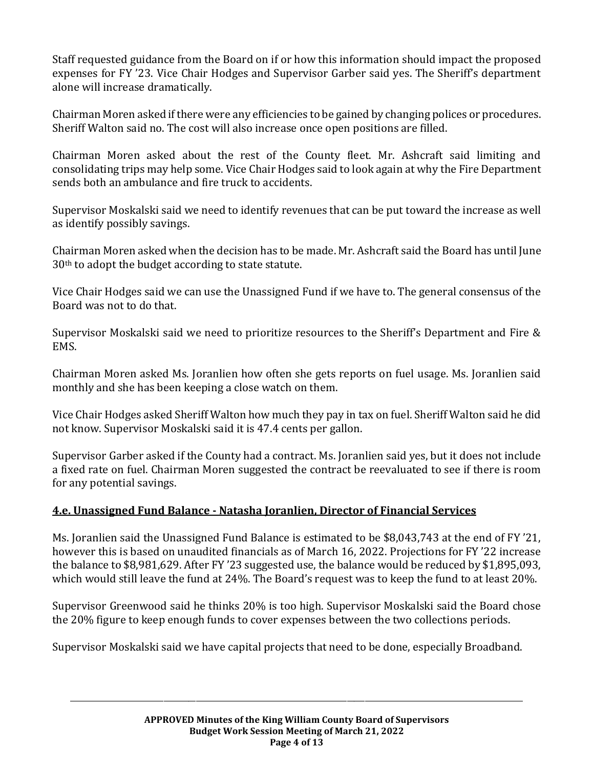Staff requested guidance from the Board on if or how this information should impact the proposed expenses for FY '23. Vice Chair Hodges and Supervisor Garber said yes. The Sheriff's department alone will increase dramatically.

Chairman Moren asked if there were any efficiencies to be gained by changing polices or procedures. Sheriff Walton said no. The cost will also increase once open positions are filled.

Chairman Moren asked about the rest of the County fleet. Mr. Ashcraft said limiting and consolidating trips may help some. Vice Chair Hodges said to look again at why the Fire Department sends both an ambulance and fire truck to accidents.

Supervisor Moskalski said we need to identify revenues that can be put toward the increase as well as identify possibly savings.

Chairman Moren asked when the decision has to be made. Mr. Ashcraft said the Board has until June 30th to adopt the budget according to state statute.

Vice Chair Hodges said we can use the Unassigned Fund if we have to. The general consensus of the Board was not to do that.

Supervisor Moskalski said we need to prioritize resources to the Sheriff's Department and Fire & EMS.

Chairman Moren asked Ms. Joranlien how often she gets reports on fuel usage. Ms. Joranlien said monthly and she has been keeping a close watch on them.

Vice Chair Hodges asked Sheriff Walton how much they pay in tax on fuel. Sheriff Walton said he did not know. Supervisor Moskalski said it is 47.4 cents per gallon.

Supervisor Garber asked if the County had a contract. Ms. Joranlien said yes, but it does not include a fixed rate on fuel. Chairman Moren suggested the contract be reevaluated to see if there is room for any potential savings.

## **4.e. Unassigned Fund Balance - Natasha Joranlien, Director of Financial Services**

Ms. Joranlien said the Unassigned Fund Balance is estimated to be \$8,043,743 at the end of FY '21, however this is based on unaudited financials as of March 16, 2022. Projections for FY '22 increase the balance to \$8,981,629. After FY '23 suggested use, the balance would be reduced by \$1,895,093, which would still leave the fund at 24%. The Board's request was to keep the fund to at least 20%.

Supervisor Greenwood said he thinks 20% is too high. Supervisor Moskalski said the Board chose the 20% figure to keep enough funds to cover expenses between the two collections periods.

Supervisor Moskalski said we have capital projects that need to be done, especially Broadband.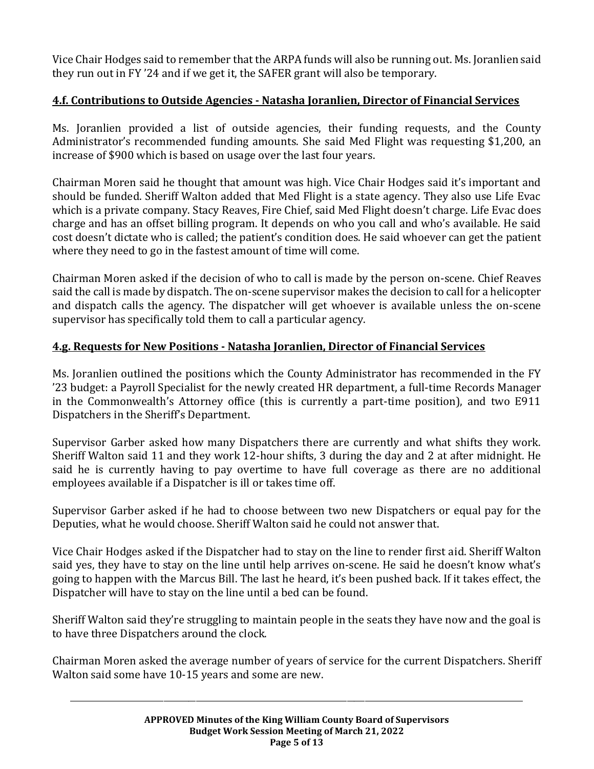Vice Chair Hodges said to remember that the ARPA funds will also be running out. Ms. Joranlien said they run out in FY '24 and if we get it, the SAFER grant will also be temporary.

# **4.f. Contributions to Outside Agencies - Natasha Joranlien, Director of Financial Services**

Ms. Joranlien provided a list of outside agencies, their funding requests, and the County Administrator's recommended funding amounts. She said Med Flight was requesting \$1,200, an increase of \$900 which is based on usage over the last four years.

Chairman Moren said he thought that amount was high. Vice Chair Hodges said it's important and should be funded. Sheriff Walton added that Med Flight is a state agency. They also use Life Evac which is a private company. Stacy Reaves, Fire Chief, said Med Flight doesn't charge. Life Evac does charge and has an offset billing program. It depends on who you call and who's available. He said cost doesn't dictate who is called; the patient's condition does. He said whoever can get the patient where they need to go in the fastest amount of time will come.

Chairman Moren asked if the decision of who to call is made by the person on-scene. Chief Reaves said the call is made by dispatch. The on-scene supervisor makes the decision to call for a helicopter and dispatch calls the agency. The dispatcher will get whoever is available unless the on-scene supervisor has specifically told them to call a particular agency.

## **4.g. Requests for New Positions - Natasha Joranlien, Director of Financial Services**

Ms. Joranlien outlined the positions which the County Administrator has recommended in the FY '23 budget: a Payroll Specialist for the newly created HR department, a full-time Records Manager in the Commonwealth's Attorney office (this is currently a part-time position), and two E911 Dispatchers in the Sheriff's Department.

Supervisor Garber asked how many Dispatchers there are currently and what shifts they work. Sheriff Walton said 11 and they work 12-hour shifts, 3 during the day and 2 at after midnight. He said he is currently having to pay overtime to have full coverage as there are no additional employees available if a Dispatcher is ill or takes time off.

Supervisor Garber asked if he had to choose between two new Dispatchers or equal pay for the Deputies, what he would choose. Sheriff Walton said he could not answer that.

Vice Chair Hodges asked if the Dispatcher had to stay on the line to render first aid. Sheriff Walton said yes, they have to stay on the line until help arrives on-scene. He said he doesn't know what's going to happen with the Marcus Bill. The last he heard, it's been pushed back. If it takes effect, the Dispatcher will have to stay on the line until a bed can be found.

Sheriff Walton said they're struggling to maintain people in the seats they have now and the goal is to have three Dispatchers around the clock.

Chairman Moren asked the average number of years of service for the current Dispatchers. Sheriff Walton said some have 10-15 years and some are new.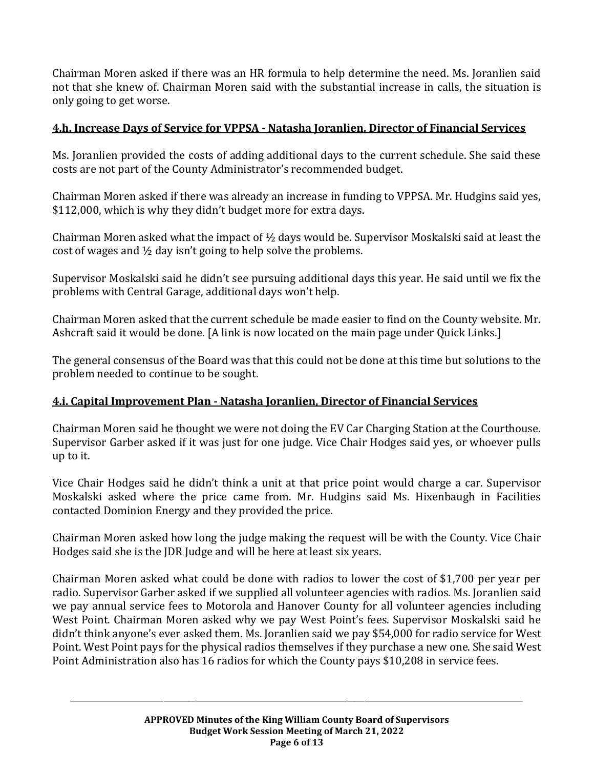Chairman Moren asked if there was an HR formula to help determine the need. Ms. Joranlien said not that she knew of. Chairman Moren said with the substantial increase in calls, the situation is only going to get worse.

#### **4.h. Increase Days of Service for VPPSA - Natasha Joranlien, Director of Financial Services**

Ms. Joranlien provided the costs of adding additional days to the current schedule. She said these costs are not part of the County Administrator's recommended budget.

Chairman Moren asked if there was already an increase in funding to VPPSA. Mr. Hudgins said yes, \$112,000, which is why they didn't budget more for extra days.

Chairman Moren asked what the impact of  $\frac{1}{2}$  days would be. Supervisor Moskalski said at least the cost of wages and ½ day isn't going to help solve the problems.

Supervisor Moskalski said he didn't see pursuing additional days this year. He said until we fix the problems with Central Garage, additional days won't help.

Chairman Moren asked that the current schedule be made easier to find on the County website. Mr. Ashcraft said it would be done. [A link is now located on the main page under Quick Links.]

The general consensus of the Board was that this could not be done at this time but solutions to the problem needed to continue to be sought.

## **4.i. Capital Improvement Plan - Natasha Joranlien, Director of Financial Services**

Chairman Moren said he thought we were not doing the EV Car Charging Station at the Courthouse. Supervisor Garber asked if it was just for one judge. Vice Chair Hodges said yes, or whoever pulls up to it.

Vice Chair Hodges said he didn't think a unit at that price point would charge a car. Supervisor Moskalski asked where the price came from. Mr. Hudgins said Ms. Hixenbaugh in Facilities contacted Dominion Energy and they provided the price.

Chairman Moren asked how long the judge making the request will be with the County. Vice Chair Hodges said she is the JDR Judge and will be here at least six years.

Chairman Moren asked what could be done with radios to lower the cost of \$1,700 per year per radio. Supervisor Garber asked if we supplied all volunteer agencies with radios. Ms. Joranlien said we pay annual service fees to Motorola and Hanover County for all volunteer agencies including West Point. Chairman Moren asked why we pay West Point's fees. Supervisor Moskalski said he didn't think anyone's ever asked them. Ms. Joranlien said we pay \$54,000 for radio service for West Point. West Point pays for the physical radios themselves if they purchase a new one. She said West Point Administration also has 16 radios for which the County pays \$10,208 in service fees.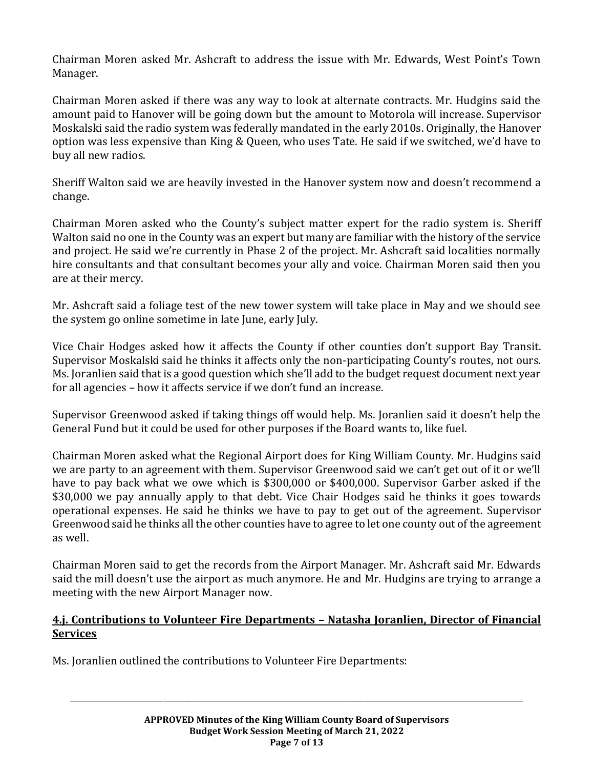Chairman Moren asked Mr. Ashcraft to address the issue with Mr. Edwards, West Point's Town Manager.

Chairman Moren asked if there was any way to look at alternate contracts. Mr. Hudgins said the amount paid to Hanover will be going down but the amount to Motorola will increase. Supervisor Moskalski said the radio system was federally mandated in the early 2010s. Originally, the Hanover option was less expensive than King & Queen, who uses Tate. He said if we switched, we'd have to buy all new radios.

Sheriff Walton said we are heavily invested in the Hanover system now and doesn't recommend a change.

Chairman Moren asked who the County's subject matter expert for the radio system is. Sheriff Walton said no one in the County was an expert but many are familiar with the history of the service and project. He said we're currently in Phase 2 of the project. Mr. Ashcraft said localities normally hire consultants and that consultant becomes your ally and voice. Chairman Moren said then you are at their mercy.

Mr. Ashcraft said a foliage test of the new tower system will take place in May and we should see the system go online sometime in late June, early July.

Vice Chair Hodges asked how it affects the County if other counties don't support Bay Transit. Supervisor Moskalski said he thinks it affects only the non-participating County's routes, not ours. Ms. Joranlien said that is a good question which she'll add to the budget request document next year for all agencies – how it affects service if we don't fund an increase.

Supervisor Greenwood asked if taking things off would help. Ms. Joranlien said it doesn't help the General Fund but it could be used for other purposes if the Board wants to, like fuel.

Chairman Moren asked what the Regional Airport does for King William County. Mr. Hudgins said we are party to an agreement with them. Supervisor Greenwood said we can't get out of it or we'll have to pay back what we owe which is \$300,000 or \$400,000. Supervisor Garber asked if the \$30,000 we pay annually apply to that debt. Vice Chair Hodges said he thinks it goes towards operational expenses. He said he thinks we have to pay to get out of the agreement. Supervisor Greenwood said he thinks all the other counties have to agree to let one county out of the agreement as well.

Chairman Moren said to get the records from the Airport Manager. Mr. Ashcraft said Mr. Edwards said the mill doesn't use the airport as much anymore. He and Mr. Hudgins are trying to arrange a meeting with the new Airport Manager now.

## **4.j. Contributions to Volunteer Fire Departments – Natasha Joranlien, Director of Financial Services**

Ms. Joranlien outlined the contributions to Volunteer Fire Departments: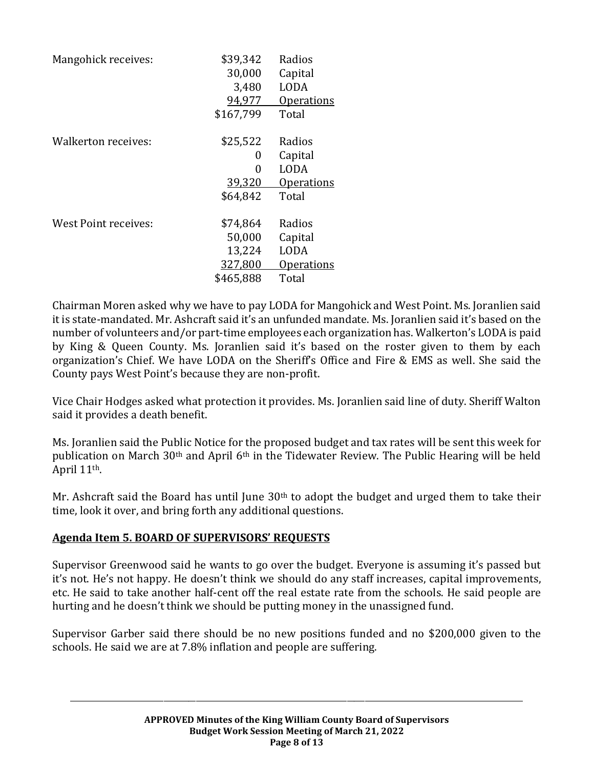| Mangohick receives:  | \$39,342  | Radios            |
|----------------------|-----------|-------------------|
|                      | 30,000    | Capital           |
|                      | 3,480     | <b>LODA</b>       |
|                      | 94,977    | <u>Operations</u> |
|                      | \$167,799 | Total             |
| Walkerton receives:  | \$25,522  | Radios            |
|                      | 0         | Capital           |
|                      | 0         | <b>LODA</b>       |
|                      | 39,320    | <b>Operations</b> |
|                      | \$64,842  | Total             |
| West Point receives: | \$74,864  | Radios            |
|                      | 50,000    | Capital           |
|                      | 13,224    | <b>LODA</b>       |
|                      | 327,800   | <u>Operations</u> |
|                      | \$465,888 | Total             |

Chairman Moren asked why we have to pay LODA for Mangohick and West Point. Ms. Joranlien said it is state-mandated. Mr. Ashcraft said it's an unfunded mandate. Ms. Joranlien said it's based on the number of volunteers and/or part-time employees each organization has. Walkerton's LODA is paid by King & Queen County. Ms. Joranlien said it's based on the roster given to them by each organization's Chief. We have LODA on the Sheriff's Office and Fire & EMS as well. She said the County pays West Point's because they are non-profit.

Vice Chair Hodges asked what protection it provides. Ms. Joranlien said line of duty. Sheriff Walton said it provides a death benefit.

Ms. Joranlien said the Public Notice for the proposed budget and tax rates will be sent this week for publication on March 30th and April 6th in the Tidewater Review. The Public Hearing will be held April 11th.

Mr. Ashcraft said the Board has until June  $30<sup>th</sup>$  to adopt the budget and urged them to take their time, look it over, and bring forth any additional questions.

#### **Agenda Item 5. BOARD OF SUPERVISORS' REQUESTS**

Supervisor Greenwood said he wants to go over the budget. Everyone is assuming it's passed but it's not. He's not happy. He doesn't think we should do any staff increases, capital improvements, etc. He said to take another half-cent off the real estate rate from the schools. He said people are hurting and he doesn't think we should be putting money in the unassigned fund.

Supervisor Garber said there should be no new positions funded and no \$200,000 given to the schools. He said we are at 7.8% inflation and people are suffering.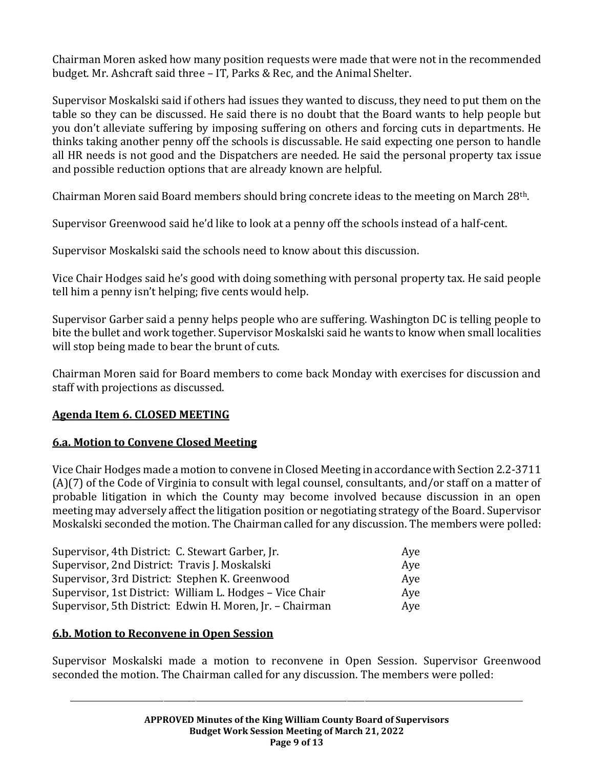Chairman Moren asked how many position requests were made that were not in the recommended budget. Mr. Ashcraft said three – IT, Parks & Rec, and the Animal Shelter.

Supervisor Moskalski said if others had issues they wanted to discuss, they need to put them on the table so they can be discussed. He said there is no doubt that the Board wants to help people but you don't alleviate suffering by imposing suffering on others and forcing cuts in departments. He thinks taking another penny off the schools is discussable. He said expecting one person to handle all HR needs is not good and the Dispatchers are needed. He said the personal property tax issue and possible reduction options that are already known are helpful.

Chairman Moren said Board members should bring concrete ideas to the meeting on March 28th.

Supervisor Greenwood said he'd like to look at a penny off the schools instead of a half-cent.

Supervisor Moskalski said the schools need to know about this discussion.

Vice Chair Hodges said he's good with doing something with personal property tax. He said people tell him a penny isn't helping; five cents would help.

Supervisor Garber said a penny helps people who are suffering. Washington DC is telling people to bite the bullet and work together. Supervisor Moskalski said he wants to know when small localities will stop being made to bear the brunt of cuts.

Chairman Moren said for Board members to come back Monday with exercises for discussion and staff with projections as discussed.

## **Agenda Item 6. CLOSED MEETING**

#### **6.a. Motion to Convene Closed Meeting**

Vice Chair Hodges made a motion to convene in Closed Meeting in accordance with Section 2.2-3711 (A)(7) of the Code of Virginia to consult with legal counsel, consultants, and/or staff on a matter of probable litigation in which the County may become involved because discussion in an open meeting may adversely affect the litigation position or negotiating strategy of the Board. Supervisor Moskalski seconded the motion. The Chairman called for any discussion. The members were polled:

| Supervisor, 4th District: C. Stewart Garber, Jr.         | Aye |
|----------------------------------------------------------|-----|
| Supervisor, 2nd District: Travis J. Moskalski            | Aye |
| Supervisor, 3rd District: Stephen K. Greenwood           | Aye |
| Supervisor, 1st District: William L. Hodges - Vice Chair | Ave |
| Supervisor, 5th District: Edwin H. Moren, Jr. - Chairman | Aye |

#### **6.b. Motion to Reconvene in Open Session**

Supervisor Moskalski made a motion to reconvene in Open Session. Supervisor Greenwood seconded the motion. The Chairman called for any discussion. The members were polled: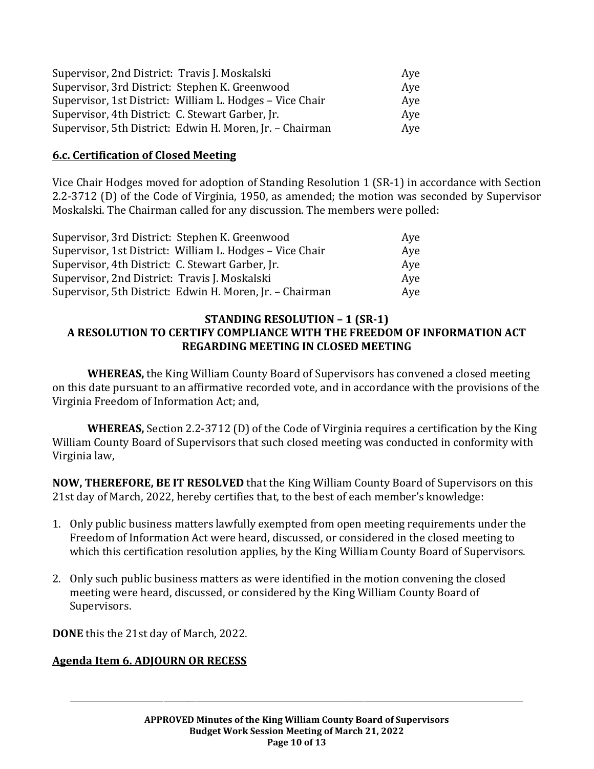| Supervisor, 2nd District: Travis J. Moskalski            | Ave |
|----------------------------------------------------------|-----|
| Supervisor, 3rd District: Stephen K. Greenwood           | Aye |
| Supervisor, 1st District: William L. Hodges - Vice Chair | Ave |
| Supervisor, 4th District: C. Stewart Garber, Jr.         | Aye |
| Supervisor, 5th District: Edwin H. Moren, Jr. - Chairman | Aye |

#### **6.c. Certification of Closed Meeting**

Vice Chair Hodges moved for adoption of Standing Resolution 1 (SR-1) in accordance with Section 2.2-3712 (D) of the Code of Virginia, 1950, as amended; the motion was seconded by Supervisor Moskalski. The Chairman called for any discussion. The members were polled:

| Supervisor, 3rd District: Stephen K. Greenwood           | Ave |
|----------------------------------------------------------|-----|
| Supervisor, 1st District: William L. Hodges - Vice Chair | Ave |
| Supervisor, 4th District: C. Stewart Garber, Jr.         | Ave |
| Supervisor, 2nd District: Travis J. Moskalski            | Ave |
| Supervisor, 5th District: Edwin H. Moren, Jr. - Chairman | Aye |

#### **STANDING RESOLUTION – 1 (SR-1) A RESOLUTION TO CERTIFY COMPLIANCE WITH THE FREEDOM OF INFORMATION ACT REGARDING MEETING IN CLOSED MEETING**

**WHEREAS,** the King William County Board of Supervisors has convened a closed meeting on this date pursuant to an affirmative recorded vote, and in accordance with the provisions of the Virginia Freedom of Information Act; and,

**WHEREAS,** Section 2.2-3712 (D) of the Code of Virginia requires a certification by the King William County Board of Supervisors that such closed meeting was conducted in conformity with Virginia law,

**NOW, THEREFORE, BE IT RESOLVED** that the King William County Board of Supervisors on this 21st day of March, 2022, hereby certifies that, to the best of each member's knowledge:

- 1. Only public business matters lawfully exempted from open meeting requirements under the Freedom of Information Act were heard, discussed, or considered in the closed meeting to which this certification resolution applies, by the King William County Board of Supervisors.
- 2. Only such public business matters as were identified in the motion convening the closed meeting were heard, discussed, or considered by the King William County Board of Supervisors.

**DONE** this the 21st day of March, 2022.

#### **Agenda Item 6. ADJOURN OR RECESS**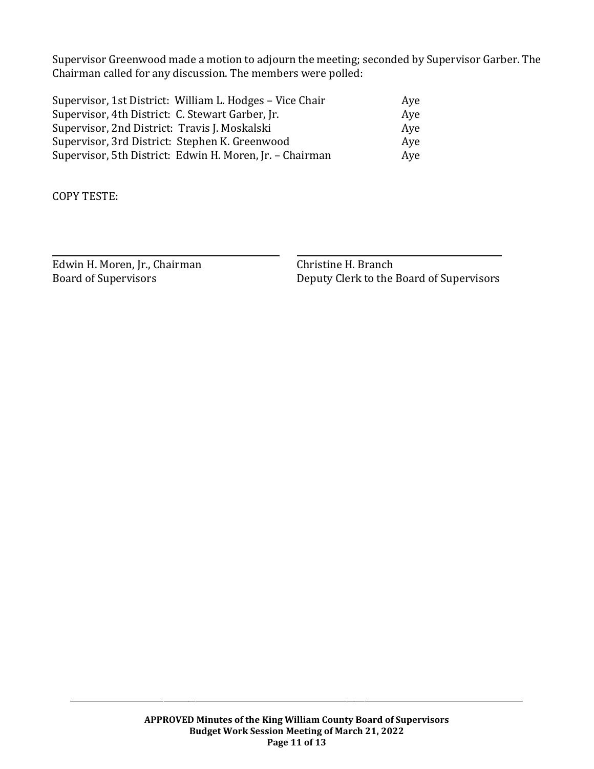Supervisor Greenwood made a motion to adjourn the meeting; seconded by Supervisor Garber. The Chairman called for any discussion. The members were polled:

| Supervisor, 1st District: William L. Hodges - Vice Chair | Ave |
|----------------------------------------------------------|-----|
| Supervisor, 4th District: C. Stewart Garber, Jr.         | Aye |
| Supervisor, 2nd District: Travis J. Moskalski            | Aye |
| Supervisor, 3rd District: Stephen K. Greenwood           | Ave |
| Supervisor, 5th District: Edwin H. Moren, Jr. - Chairman | Aye |

COPY TESTE:

Edwin H. Moren, Jr., Chairman Christine H. Branch

Board of Supervisors Deputy Clerk to the Board of Supervisors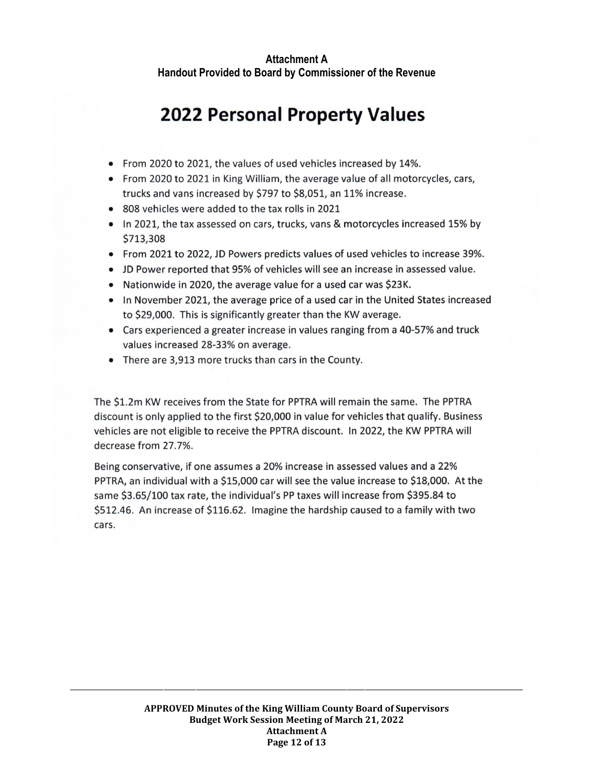# **2022 Personal Property Values**

- From 2020 to 2021, the values of used vehicles increased by 14%.
- From 2020 to 2021 in King William, the average value of all motorcycles, cars, trucks and vans increased by \$797 to \$8,051, an 11% increase.
- 808 vehicles were added to the tax rolls in 2021
- In 2021, the tax assessed on cars, trucks, vans & motorcycles increased 15% by \$713,308
- From 2021 to 2022, JD Powers predicts values of used vehicles to increase 39%.
- JD Power reported that 95% of vehicles will see an increase in assessed value.
- Nationwide in 2020, the average value for a used car was \$23K.
- In November 2021, the average price of a used car in the United States increased to \$29,000. This is significantly greater than the KW average.
- Cars experienced a greater increase in values ranging from a 40-57% and truck values increased 28-33% on average.
- There are 3,913 more trucks than cars in the County.

The \$1.2m KW receives from the State for PPTRA will remain the same. The PPTRA discount is only applied to the first \$20,000 in value for vehicles that qualify. Business vehicles are not eligible to receive the PPTRA discount. In 2022, the KW PPTRA will decrease from 27.7%.

Being conservative, if one assumes a 20% increase in assessed values and a 22% PPTRA, an individual with a \$15,000 car will see the value increase to \$18,000. At the same \$3.65/100 tax rate, the individual's PP taxes will increase from \$395.84 to \$512.46. An increase of \$116.62. Imagine the hardship caused to a family with two cars.